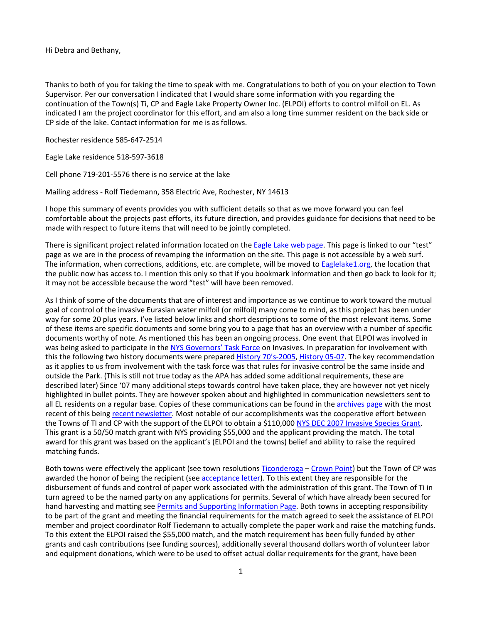Hi Debra and Bethany,

Thanks to both of you for taking the time to speak with me. Congratulations to both of you on your election to Town Supervisor. Per our conversation I indicated that I would share some information with you regarding the continuation of the Town(s) Ti, CP and Eagle Lake Property Owner Inc. (ELPOI) efforts to control milfoil on EL. As indicated I am the project coordinator for this effort, and am also a long time summer resident on the back side or CP side of the lake. Contact information for me is as follows.

Rochester residence 585-647-2514

Eagle Lake residence 518-597-3618

Cell phone 719-201-5576 there is no service at the lake

Mailing address - Rolf Tiedemann, 358 Electric Ave, Rochester, NY 14613

I hope this summary of events provides you with sufficient details so that as we move forward you can feel comfortable about the projects past efforts, its future direction, and provides guidance for decisions that need to be made with respect to future items that will need to be jointly completed.

There is significant project related information located on th[e Eagle Lake web page.](http://test.eaglelake1.org/index.shtml) This page is linked to our "test" page as we are in the process of revamping the information on the site. This page is not accessible by a web surf. The information, when corrections, additions, etc. are complete, will be moved t[o Eaglelake1.org,](http://eaglelake1.org/) the location that the public now has access to. I mention this only so that if you bookmark information and then go back to look for it; it may not be accessible because the word "test" will have been removed.

As I think of some of the documents that are of interest and importance as we continue to work toward the mutual goal of control of the invasive Eurasian water milfoil (or milfoil) many come to mind, as this project has been under way for some 20 plus years. I've listed below links and short descriptions to some of the most relevant items. Some of these items are specific documents and some bring you to a page that has an overview with a number of specific documents worthy of note. As mentioned this has been an ongoing process. One event that ELPOI was involved in was being asked to participate in th[e NYS Governors' Task Force](http://test.eaglelake1.org/html/documents/ISTF.shtml) on Invasives. In preparation for involvement with this the following two history documents were prepared [History 70's-2005,](http://eaglelake1.org/archives/Funding/2007_Invasive_Species_Eradication_Grant/2007.Grant.sections/09%20History%20of%20milfoil%20late%2070%20to%202006/History%20of%20milfoil%20late%2070s%20-%202005.pdf) [History 05-07.](http://eaglelake1.org/archives/Funding/2007_Invasive_Species_Eradication_Grant/2007.Grant.sections/10%20Supplement%20to%20History%2005%20to%20present/History%20of%20milfoil%202005-2007%20addendum.pdf) The key recommendation as it applies to us from involvement with the task force was that rules for invasive control be the same inside and outside the Park. (This is still not true today as the APA has added some additional requirements, these are described later) Since '07 many additional steps towards control have taken place, they are however not yet nicely highlighted in bullet points. They are however spoken about and highlighted in communication newsletters sent to all EL residents on a regular base. Copies of these communications can be found in the [archives page](http://test.eaglelake1.org/archives/archives.shtml) with the most recent of this bein[g recent newsletter.](http://test.eaglelake1.org/archives/newsletter/2000-2009/2009/2009-11_newsletter.pdf) Most notable of our accomplishments was the cooperative effort between the Towns of TI and CP with the support of the ELPOI to obtain a \$110,000 [NYS DEC 2007 Invasive Species Grant.](http://test.eaglelake1.org/html/funding/grant2007.shtml) This grant is a 50/50 match grant with NYS providing \$55,000 and the applicant providing the match. The total award for this grant was based on the applicant's (ELPOI and the towns) belief and ability to raise the required matching funds.

Both towns were effectively the applicant (see town resolution[s Ticonderoga](http://test.eaglelake1.org/archives/Funding/2007_Invasive_Species_Eradication_Grant/2007.Grant.sections/24%20Attachment%20D.%20Ticonderoga%20Resolution%20of%20Support-Endorsement/2007-06-14%20Town%20of%20Ticonderoga%20Resolution.pdf) – [Crown Point\)](http://test.eaglelake1.org/archives/funding/2007_Invasive_Species_Eradication_Grant/2007.Grant.sections/23%20Attachment%20D.%20Crown%20Point%20Resolution%20of%20Support-Endorsement/2007-06-14%20%20Crown%20Point%20Resolution.pdf) but the Town of CP was awarded the honor of being the recipient (see [acceptance letter\)](http://test.eaglelake1.org/archives/funding/2007_Invasive_Species_Eradication_Grant/2008%20Nov%20notification%20of%20receipt%20of%20grant.pdf). To this extent they are responsible for the disbursement of funds and control of paper work associated with the administration of this grant. The Town of Ti in turn agreed to be the named party on any applications for permits. Several of which have already been secured for hand harvesting and matting se[e Permits and Supporting Information Page.](http://test.eaglelake1.org/html/documents/permits/permits.shtm) Both towns in accepting responsibility to be part of the grant and meeting the financial requirements for the match agreed to seek the assistance of ELPOI member and project coordinator Rolf Tiedemann to actually complete the paper work and raise the matching funds. To this extent the ELPOI raised the \$55,000 match, and the match requirement has been fully funded by other grants and cash contributions (see funding sources), additionally several thousand dollars worth of volunteer labor and equipment donations, which were to be used to offset actual dollar requirements for the grant, have been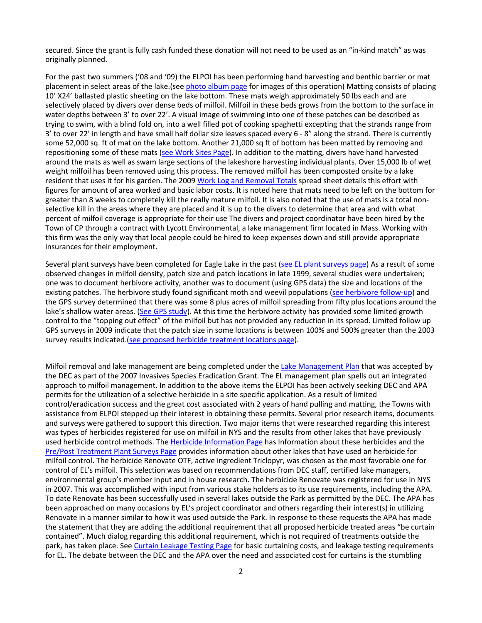secured. Since the grant is fully cash funded these donation will not need to be used as an "in-kind match" as was originally planned.

For the past two summers ('08 and '09) the ELPOI has been performing hand harvesting and benthic barrier or mat placement in select areas of the lake.(see [photo album page](http://test.eaglelake1.org/photo_album/photo_album.shtml) for images of this operation) Matting consists of placing 10' X24' ballasted plastic sheeting on the lake bottom. These mats weigh approximately 50 lbs each and are selectively placed by divers over dense beds of milfoil. Milfoil in these beds grows from the bottom to the surface in water depths between 3' to over 22'. A visual image of swimming into one of these patches can be described as trying to swim, with a blind fold on, into a well filled pot of cooking spaghetti excepting that the strands range from 3' to over 22' in length and have small half dollar size leaves spaced every 6 - 8" along the strand. There is currently some 52,000 sq. ft of mat on the lake bottom. Another 21,000 sq ft of bottom has been matted by removing and repositioning some of these mats [\(see Work Sites Page\)](http://test.eaglelake1.org/html/documents/gps/2008_2009_work_sites.shtml). In addition to the matting, divers have hand harvested around the mats as well as swam large sections of the lakeshore harvesting individual plants. Over 15,000 lb of wet weight milfoil has been removed using this process. The removed milfoil has been composted onsite by a lake resident that uses it for his garden. The 200[9 Work Log and Removal Totals](http://test.eaglelake1.org/archives/documents/quarterly_reports/work_summaries/Summary%20Sheet_weekly%20time%20sheets%2012-2009%20print.pdf) spread sheet details this effort with figures for amount of area worked and basic labor costs. It is noted here that mats need to be left on the bottom for greater than 8 weeks to completely kill the really mature milfoil. It is also noted that the use of mats is a total nonselective kill in the areas where they are placed and it is up to the divers to determine that area and with what percent of milfoil coverage is appropriate for their use The divers and project coordinator have been hired by the Town of CP through a contract with Lycott Environmental, a lake management firm located in Mass. Working with this firm was the only way that local people could be hired to keep expenses down and still provide appropriate insurances for their employment.

Several plant surveys have been completed for Eagle Lake in the past [\(see EL plant surveys page\)](http://test.eaglelake1.org/html/documents/el_plant_surveys.shtml) As a result of some observed changes in milfoil density, patch size and patch locations in late 1999, several studies were undertaken; one was to document herbivore activity, another was to document (using GPS data) the size and locations of the existing patches. The herbivore study found significant moth and weevil populations [\(see herbivore follow-up\)](http://test.eaglelake1.org/archives/documents/control/2001-7-2%20Herbivor%20study%20data%20EL%20By%20Dr%20Bob%20Johnson.pdf) and the GPS survey determined that there was some 8 plus acres of milfoil spreading from fifty plus locations around the lake's shallow water areas. [\(See GPS study\)](http://test.eaglelake1.org/html/documents/gps/2003_gps_survey.shtml). At this time the herbivore activity has provided some limited growth control to the "topping out effect" of the milfoil but has not provided any reduction in its spread. Limited follow up GPS surveys in 2009 indicate that the patch size in some locations is between 100% and 500% greater than the 2003 survey results indicated.(see [proposed herbicide treatment locations](http://test.eaglelake1.org/html/documents/gps/proposed_herbicide_locations.shtml) page).

Milfoil removal and lake management are being completed under the [Lake Management Plan](http://test.eaglelake1.org/archives/funding/2007_Invasive_Species_Eradication_Grant/2007.Grant.sections/32%20Attachment%20F.%20Invasives%20Species%20Management%20Plan/Attachment%20F.%20Invasives%20Species%20Management%20Plan%202007.pdf) that was accepted by the DEC as part of the 2007 Invasives Species Eradication Grant. The EL management plan spells out an integrated approach to milfoil management. In addition to the above items the ELPOI has been actively seeking DEC and APA permits for the utilization of a selective herbicide in a site specific application. As a result of limited control/eradication success and the great cost associated with 2 years of hand pulling and matting, the Towns with assistance from ELPOI stepped up their interest in obtaining these permits. Several prior research items, documents and surveys were gathered to support this direction. Two major items that were researched regarding this interest was types of herbicides registered for use on milfoil in NYS and the results from other lakes that have previously used herbicide control methods. Th[e Herbicide Information Page](http://test.eaglelake1.org/html/environmental_issues/control/herbicide.shtml) has Information about these herbicides and the [Pre/Post Treatment Plant](http://test.eaglelake1.org/html/other_lakes/other_plant_surveys.shtml) Surveys Page provides information about other lakes that have used an herbicide for milfoil control. The herbicide Renovate OTF, active ingredient Triclopyr, was chosen as the most favorable one for control of EL's milfoil. This selection was based on recommendations from DEC staff, certified lake managers, environmental group's member input and in house research. The herbicide Renovate was registered for use in NYS in 2007. This was accomplished with input from various stake holders as to its use requirements, including the APA. To date Renovate has been successfully used in several lakes outside the Park as permitted by the DEC. The APA has been approached on many occasions by EL's project coordinator and others regarding their interest(s) in utilizing Renovate in a manner similar to how it was used outside the Park. In response to these requests the APA has made the statement that they are adding the additional requirement that all proposed herbicide treated areas "be curtain contained". Much dialog regarding this additional requirement, which is not required of treatments outside the park, has taken place. See [Curtain Leakage Testing Page](http://test.eaglelake1.org/html/milfoil_project/rhodamine_dye.shtml) for basic curtaining costs, and leakage testing requirements for EL. The debate between the DEC and the APA over the need and associated cost for curtains is the stumbling